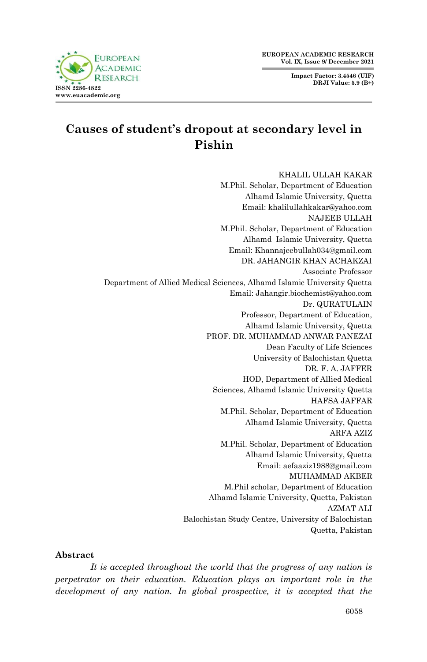**EUROPEAN ACADEMIC RESEARCH Vol. IX, Issue 9/ December 2021**

> **Impact Factor: 3.4546 (UIF) DRJI Value: 5.9 (B+)**



# **Causes of student's dropout at secondary level in Pishin**

KHALIL ULLAH KAKAR M.Phil. Scholar, Department of Education Alhamd Islamic University, Quetta Email: khalilullahkakar@yahoo.com NAJEEB ULLAH M.Phil. Scholar, Department of Education Alhamd Islamic University, Quetta Email: Khannajeebullah034@gmail.com DR. JAHANGIR KHAN ACHAKZAI Associate Professor Department of Allied Medical Sciences, Alhamd Islamic University Quetta Email: Jahangir.biochemist@yahoo.com Dr. QURATULAIN Professor, Department of Education, Alhamd Islamic University, Quetta PROF. DR. MUHAMMAD ANWAR PANEZAI Dean Faculty of Life Sciences University of Balochistan Quetta DR. F. A. JAFFER HOD, Department of Allied Medical Sciences, Alhamd Islamic University Quetta HAFSA JAFFAR M.Phil. Scholar, Department of Education Alhamd Islamic University, Quetta ARFA AZIZ M.Phil. Scholar, Department of Education Alhamd Islamic University, Quetta Email: aefaaziz1988@gmail.com MUHAMMAD AKBER M.Phil scholar, Department of Education Alhamd Islamic University, Quetta, Pakistan AZMAT ALI Balochistan Study Centre, University of Balochistan Quetta, Pakistan

#### **Abstract**

*It is accepted throughout the world that the progress of any nation is perpetrator on their education. Education plays an important role in the development of any nation. In global prospective, it is accepted that the*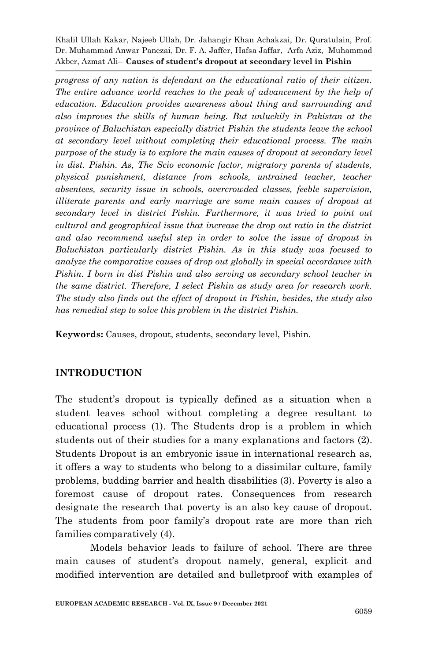*progress of any nation is defendant on the educational ratio of their citizen. The entire advance world reaches to the peak of advancement by the help of education. Education provides awareness about thing and surrounding and also improves the skills of human being. But unluckily in Pakistan at the province of Baluchistan especially district Pishin the students leave the school at secondary level without completing their educational process. The main purpose of the study is to explore the main causes of dropout at secondary level in dist. Pishin. As, The Scio economic factor, migratory parents of students, physical punishment, distance from schools, untrained teacher, teacher absentees, security issue in schools, overcrowded classes, feeble supervision, illiterate parents and early marriage are some main causes of dropout at secondary level in district Pishin. Furthermore, it was tried to point out cultural and geographical issue that increase the drop out ratio in the district and also recommend useful step in order to solve the issue of dropout in Baluchistan particularly district Pishin. As in this study was focused to analyze the comparative causes of drop out globally in special accordance with Pishin. I born in dist Pishin and also serving as secondary school teacher in the same district. Therefore, I select Pishin as study area for research work. The study also finds out the effect of dropout in Pishin, besides, the study also has remedial step to solve this problem in the district Pishin.*

**Keywords:** Causes, dropout, students, secondary level, Pishin.

# **INTRODUCTION**

The student's dropout is typically defined as a situation when a student leaves school without completing a degree resultant to educational process (1). The Students drop is a problem in which students out of their studies for a many explanations and factors (2). Students Dropout is an embryonic issue in international research as, it offers a way to students who belong to a dissimilar culture, family problems, budding barrier and health disabilities (3). Poverty is also a foremost cause of dropout rates. Consequences from research designate the research that poverty is an also key cause of dropout. The students from poor family's dropout rate are more than rich families comparatively (4).

Models behavior leads to failure of school. There are three main causes of student's dropout namely, general, explicit and modified intervention are detailed and bulletproof with examples of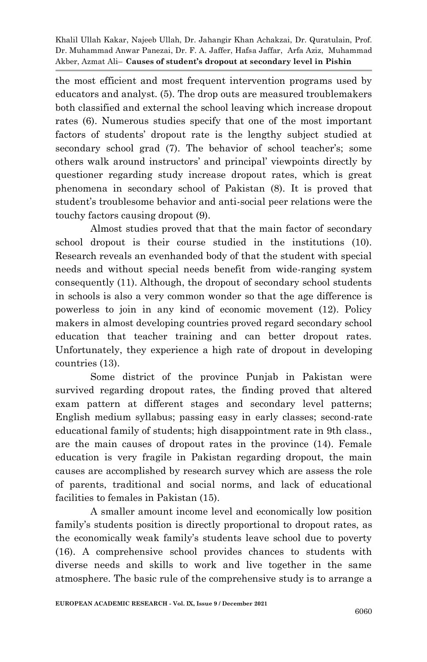the most efficient and most frequent intervention programs used by educators and analyst. (5). The drop outs are measured troublemakers both classified and external the school leaving which increase dropout rates (6). Numerous studies specify that one of the most important factors of students' dropout rate is the lengthy subject studied at secondary school grad (7). The behavior of school teacher's; some others walk around instructors' and principal' viewpoints directly by questioner regarding study increase dropout rates, which is great phenomena in secondary school of Pakistan (8). It is proved that student's troublesome behavior and anti-social peer relations were the touchy factors causing dropout (9).

Almost studies proved that that the main factor of secondary school dropout is their course studied in the institutions (10). Research reveals an evenhanded body of that the student with special needs and without special needs benefit from wide-ranging system consequently (11). Although, the dropout of secondary school students in schools is also a very common wonder so that the age difference is powerless to join in any kind of economic movement (12). Policy makers in almost developing countries proved regard secondary school education that teacher training and can better dropout rates. Unfortunately, they experience a high rate of dropout in developing countries (13).

Some district of the province Punjab in Pakistan were survived regarding dropout rates, the finding proved that altered exam pattern at different stages and secondary level patterns; English medium syllabus; passing easy in early classes; second-rate educational family of students; high disappointment rate in 9th class., are the main causes of dropout rates in the province (14). Female education is very fragile in Pakistan regarding dropout, the main causes are accomplished by research survey which are assess the role of parents, traditional and social norms, and lack of educational facilities to females in Pakistan (15).

A smaller amount income level and economically low position family's students position is directly proportional to dropout rates, as the economically weak family's students leave school due to poverty (16). A comprehensive school provides chances to students with diverse needs and skills to work and live together in the same atmosphere. The basic rule of the comprehensive study is to arrange a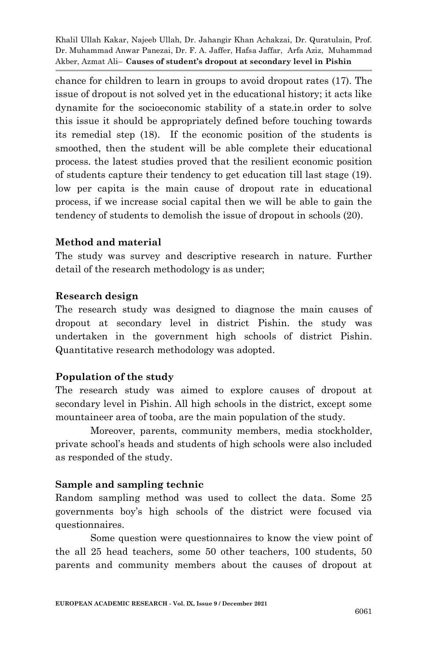chance for children to learn in groups to avoid dropout rates (17). The issue of dropout is not solved yet in the educational history; it acts like dynamite for the socioeconomic stability of a state.in order to solve this issue it should be appropriately defined before touching towards its remedial step (18). If the economic position of the students is smoothed, then the student will be able complete their educational process. the latest studies proved that the resilient economic position of students capture their tendency to get education till last stage (19). low per capita is the main cause of dropout rate in educational process, if we increase social capital then we will be able to gain the tendency of students to demolish the issue of dropout in schools (20).

#### **Method and material**

The study was survey and descriptive research in nature. Further detail of the research methodology is as under;

#### **Research design**

The research study was designed to diagnose the main causes of dropout at secondary level in district Pishin. the study was undertaken in the government high schools of district Pishin. Quantitative research methodology was adopted.

# **Population of the study**

The research study was aimed to explore causes of dropout at secondary level in Pishin. All high schools in the district, except some mountaineer area of tooba, are the main population of the study.

Moreover, parents, community members, media stockholder, private school's heads and students of high schools were also included as responded of the study.

# **Sample and sampling technic**

Random sampling method was used to collect the data. Some 25 governments boy's high schools of the district were focused via questionnaires.

Some question were questionnaires to know the view point of the all 25 head teachers, some 50 other teachers, 100 students, 50 parents and community members about the causes of dropout at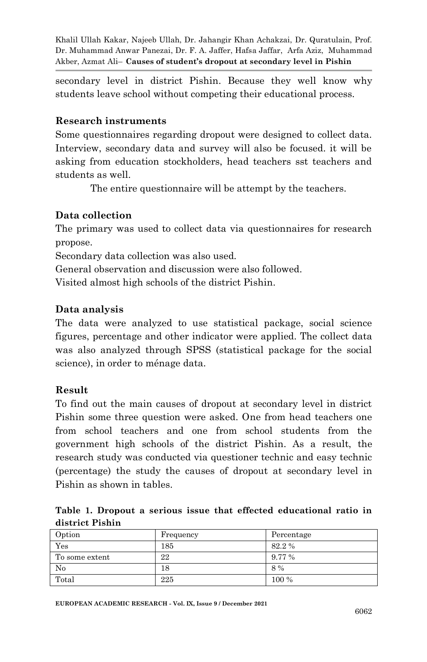secondary level in district Pishin. Because they well know why students leave school without competing their educational process.

#### **Research instruments**

Some questionnaires regarding dropout were designed to collect data. Interview, secondary data and survey will also be focused. it will be asking from education stockholders, head teachers sst teachers and students as well.

The entire questionnaire will be attempt by the teachers.

# **Data collection**

The primary was used to collect data via questionnaires for research propose.

Secondary data collection was also used.

General observation and discussion were also followed.

Visited almost high schools of the district Pishin.

# **Data analysis**

The data were analyzed to use statistical package, social science figures, percentage and other indicator were applied. The collect data was also analyzed through SPSS (statistical package for the social science), in order to ménage data.

# **Result**

To find out the main causes of dropout at secondary level in district Pishin some three question were asked. One from head teachers one from school teachers and one from school students from the government high schools of the district Pishin. As a result, the research study was conducted via questioner technic and easy technic (percentage) the study the causes of dropout at secondary level in Pishin as shown in tables.

**Table 1. Dropout a serious issue that effected educational ratio in district Pishin**

| Option         | Frequency | Percentage |
|----------------|-----------|------------|
| Yes            | 185       | 82.2%      |
| To some extent | 22        | 9.77%      |
| No             | 18        | 8 %        |
| Total          | 225       | 100 %      |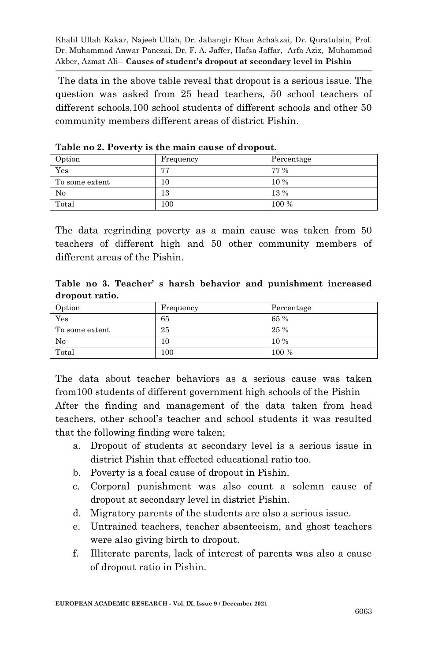The data in the above table reveal that dropout is a serious issue. The question was asked from 25 head teachers, 50 school teachers of different schools,100 school students of different schools and other 50 community members different areas of district Pishin.

| Option         | Frequency | Percentage |
|----------------|-----------|------------|
| Yes            | 77        | 77 %       |
| To some extent | 10        | 10 %       |
| No             | 13        | 13 %       |
| Total          | 100       | 100 %      |

**Table no 2. Poverty is the main cause of dropout.**

The data regrinding poverty as a main cause was taken from 50 teachers of different high and 50 other community members of different areas of the Pishin.

**Table no 3. Teacher' s harsh behavior and punishment increased dropout ratio.**

| Option         | Frequency | Percentage |
|----------------|-----------|------------|
| Yes            | 65        | 65%        |
| To some extent | 25        | 25 %       |
| No             | 10        | 10 %       |
| Total          | 100       | 100 %      |

The data about teacher behaviors as a serious cause was taken from100 students of different government high schools of the Pishin After the finding and management of the data taken from head teachers, other school's teacher and school students it was resulted that the following finding were taken;

- a. Dropout of students at secondary level is a serious issue in district Pishin that effected educational ratio too.
- b. Poverty is a focal cause of dropout in Pishin.
- c. Corporal punishment was also count a solemn cause of dropout at secondary level in district Pishin.
- d. Migratory parents of the students are also a serious issue.
- e. Untrained teachers, teacher absenteeism, and ghost teachers were also giving birth to dropout.
- f. Illiterate parents, lack of interest of parents was also a cause of dropout ratio in Pishin.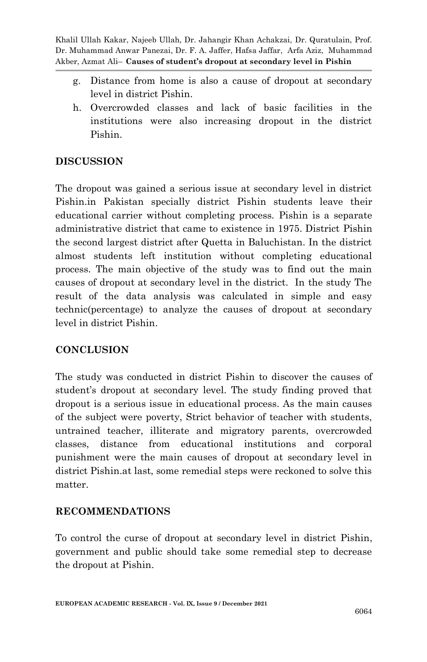- g. Distance from home is also a cause of dropout at secondary level in district Pishin.
- h. Overcrowded classes and lack of basic facilities in the institutions were also increasing dropout in the district Pishin.

# **DISCUSSION**

The dropout was gained a serious issue at secondary level in district Pishin.in Pakistan specially district Pishin students leave their educational carrier without completing process. Pishin is a separate administrative district that came to existence in 1975. District Pishin the second largest district after Quetta in Baluchistan. In the district almost students left institution without completing educational process. The main objective of the study was to find out the main causes of dropout at secondary level in the district. In the study The result of the data analysis was calculated in simple and easy technic(percentage) to analyze the causes of dropout at secondary level in district Pishin.

# **CONCLUSION**

The study was conducted in district Pishin to discover the causes of student's dropout at secondary level. The study finding proved that dropout is a serious issue in educational process. As the main causes of the subject were poverty, Strict behavior of teacher with students, untrained teacher, illiterate and migratory parents, overcrowded classes, distance from educational institutions and corporal punishment were the main causes of dropout at secondary level in district Pishin.at last, some remedial steps were reckoned to solve this matter.

# **RECOMMENDATIONS**

To control the curse of dropout at secondary level in district Pishin, government and public should take some remedial step to decrease the dropout at Pishin.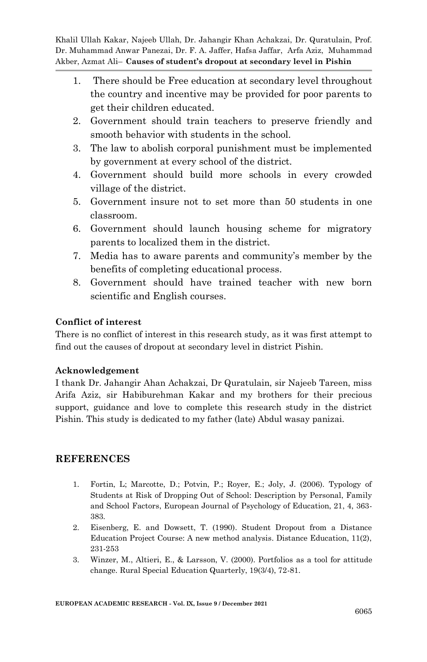- 1. There should be Free education at secondary level throughout the country and incentive may be provided for poor parents to get their children educated.
- 2. Government should train teachers to preserve friendly and smooth behavior with students in the school.
- 3. The law to abolish corporal punishment must be implemented by government at every school of the district.
- 4. Government should build more schools in every crowded village of the district.
- 5. Government insure not to set more than 50 students in one classroom.
- 6. Government should launch housing scheme for migratory parents to localized them in the district.
- 7. Media has to aware parents and community's member by the benefits of completing educational process.
- 8. Government should have trained teacher with new born scientific and English courses.

#### **Conflict of interest**

There is no conflict of interest in this research study, as it was first attempt to find out the causes of dropout at secondary level in district Pishin.

# **Acknowledgement**

I thank Dr. Jahangir Ahan Achakzai, Dr Quratulain, sir Najeeb Tareen, miss Arifa Aziz, sir Habiburehman Kakar and my brothers for their precious support, guidance and love to complete this research study in the district Pishin. This study is dedicated to my father (late) Abdul wasay panizai.

# **REFERENCES**

- 1. Fortin, L; Marcotte, D.; Potvin, P.; Royer, E.; Joly, J. (2006). Typology of Students at Risk of Dropping Out of School: Description by Personal, Family and School Factors, European Journal of Psychology of Education, 21, 4, 363- 383.
- 2. Eisenberg, E. and Dowsett, T. (1990). Student Dropout from a Distance Education Project Course: A new method analysis. Distance Education, 11(2), 231-253
- 3. Winzer, M., Altieri, E., & Larsson, V. (2000). Portfolios as a tool for attitude change. Rural Special Education Quarterly, 19(3/4), 72-81.